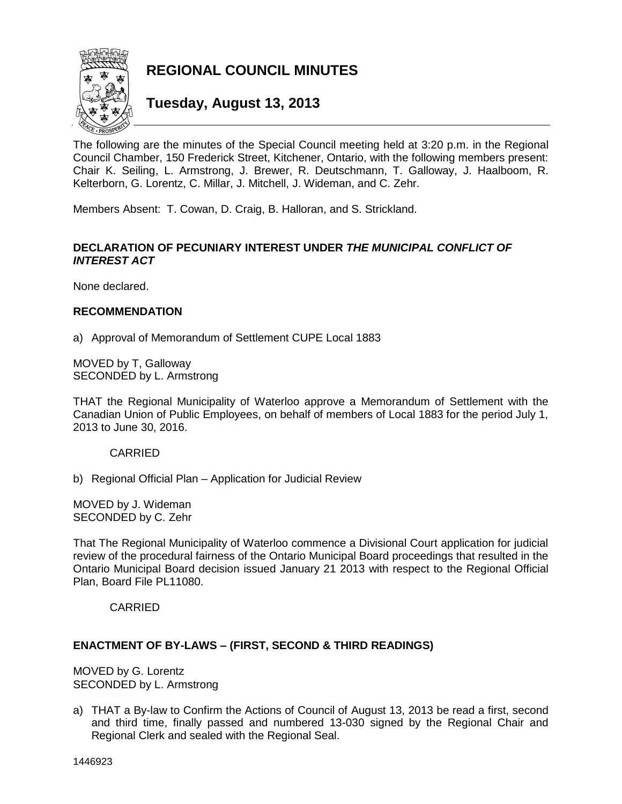

**REGIONAL COUNCIL MINUTES**

# **Tuesday, August 13, 2013**

The following are the minutes of the Special Council meeting held at 3:20 p.m. in the Regional Council Chamber, 150 Frederick Street, Kitchener, Ontario, with the following members present: Chair K. Seiling, L. Armstrong, J. Brewer, R. Deutschmann, T. Galloway, J. Haalboom, R. Kelterborn, G. Lorentz, C. Millar, J. Mitchell, J. Wideman, and C. Zehr.

Members Absent: T. Cowan, D. Craig, B. Halloran, and S. Strickland.

## **DECLARATION OF PECUNIARY INTEREST UNDER** *THE MUNICIPAL CONFLICT OF INTEREST ACT*

None declared.

#### **RECOMMENDATION**

a) Approval of Memorandum of Settlement CUPE Local 1883

MOVED by T, Galloway SECONDED by L. Armstrong

THAT the Regional Municipality of Waterloo approve a Memorandum of Settlement with the Canadian Union of Public Employees, on behalf of members of Local 1883 for the period July 1, 2013 to June 30, 2016.

#### CARRIED

b) Regional Official Plan – Application for Judicial Review

MOVED by J. Wideman SECONDED by C. Zehr

That The Regional Municipality of Waterloo commence a Divisional Court application for judicial review of the procedural fairness of the Ontario Municipal Board proceedings that resulted in the Ontario Municipal Board decision issued January 21 2013 with respect to the Regional Official Plan, Board File PL11080.

CARRIED

## **ENACTMENT OF BY-LAWS – (FIRST, SECOND & THIRD READINGS)**

MOVED by G. Lorentz SECONDED by L. Armstrong

a) THAT a By-law to Confirm the Actions of Council of August 13, 2013 be read a first, second and third time, finally passed and numbered 13-030 signed by the Regional Chair and Regional Clerk and sealed with the Regional Seal.

1446923